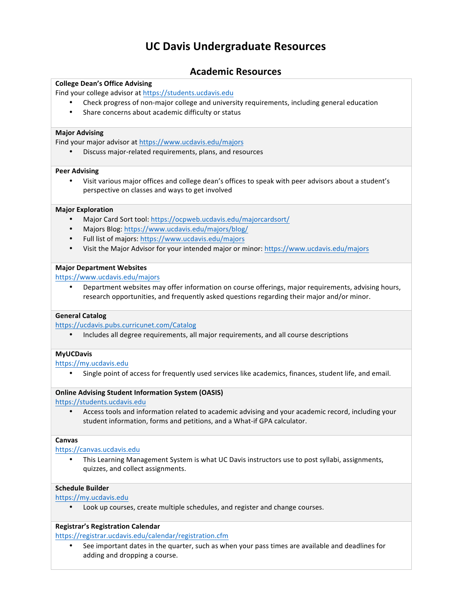# **UC Davis Undergraduate Resources**

## **Academic Resources**

#### **College Dean's Office Advising**

Find your college advisor at https://students.ucdavis.edu

- Check progress of non-major college and university requirements, including general education
- Share concerns about academic difficulty or status

#### **Major Advising**

Find your major advisor at https://www.ucdavis.edu/majors

Discuss major-related requirements, plans, and resources

#### **Peer Advising**

Visit various major offices and college dean's offices to speak with peer advisors about a student's perspective on classes and ways to get involved

#### **Major Exploration**

- Major Card Sort tool: https://ocpweb.ucdavis.edu/majorcardsort/
- Majors Blog: https://www.ucdavis.edu/majors/blog/
- Full list of majors: https://www.ucdavis.edu/majors
- Visit the Major Advisor for your intended major or minor: https://www.ucdavis.edu/majors

#### **Major Department Websites**

https://www.ucdavis.edu/majors

Department websites may offer information on course offerings, major requirements, advising hours, research opportunities, and frequently asked questions regarding their major and/or minor.

#### **General Catalog**

https://ucdavis.pubs.curricunet.com/Catalog

• Includes all degree requirements, all major requirements, and all course descriptions

#### **MyUCDavis**

https://my.ucdavis.edu

Single point of access for frequently used services like academics, finances, student life, and email.

#### **Online Advising Student Information System (OASIS)**

https://students.ucdavis.edu

Access tools and information related to academic advising and your academic record, including your student information, forms and petitions, and a What-if GPA calculator.

#### **Canvas**

https://canvas.ucdavis.edu

• This Learning Management System is what UC Davis instructors use to post syllabi, assignments, quizzes, and collect assignments.

#### **Schedule Builder**

https://my.ucdavis.edu

Look up courses, create multiple schedules, and register and change courses.

#### **Registrar's Registration Calendar**

https://registrar.ucdavis.edu/calendar/registration.cfm

See important dates in the quarter, such as when your pass times are available and deadlines for adding and dropping a course.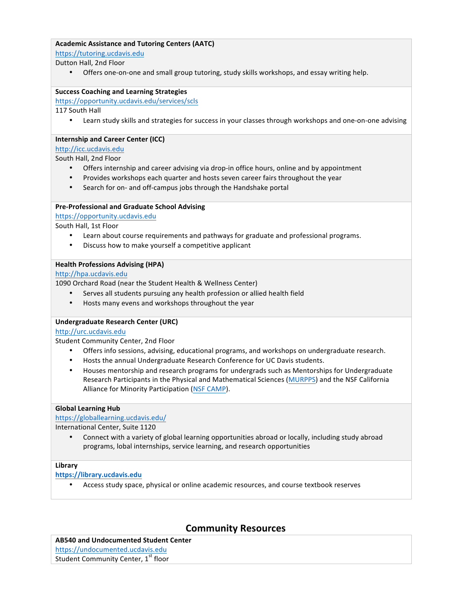### **Academic Assistance and Tutoring Centers (AATC)**

https://tutoring.ucdavis.edu 

Dutton Hall, 2nd Floor

Offers one-on-one and small group tutoring, study skills workshops, and essay writing help.

#### **Success Coaching and Learning Strategies**

https://opportunity.ucdavis.edu/services/scls

117 South Hall

• Learn study skills and strategies for success in your classes through workshops and one-on-one advising

#### **Internship and Career Center (ICC)**

#### http://icc.ucdavis.edu

South Hall, 2nd Floor

- Offers internship and career advising via drop-in office hours, online and by appointment
- Provides workshops each quarter and hosts seven career fairs throughout the year
- Search for on- and off-campus jobs through the Handshake portal

#### **Pre-Professional and Graduate School Advising**

https://opportunity.ucdavis.edu

South Hall, 1st Floor

- Learn about course requirements and pathways for graduate and professional programs.
- Discuss how to make yourself a competitive applicant

#### **Health Professions Advising (HPA)**

http://hpa.ucdavis.edu

1090 Orchard Road (near the Student Health & Wellness Center)

- Serves all students pursuing any health profession or allied health field
- Hosts many evens and workshops throughout the year

#### **Undergraduate Research Center (URC)**

#### http://urc.ucdavis.edu

Student Community Center, 2nd Floor

- Offers info sessions, advising, educational programs, and workshops on undergraduate research.
- Hosts the annual Undergraduate Research Conference for UC Davis students.
- Houses mentorship and research programs for undergrads such as Mentorships for Undergraduate Research Participants in the Physical and Mathematical Sciences (MURPPS) and the NSF California Alliance for Minority Participation (NSF CAMP).

#### **Global Learning Hub**

https://globallearning.ucdavis.edu/

International Center, Suite 1120

Connect with a variety of global learning opportunities abroad or locally, including study abroad programs, lobal internships, service learning, and research opportunities

#### **Library**

**https://library.ucdavis.edu**

• Access study space, physical or online academic resources, and course textbook reserves

## **Community Resources**

## **AB540 and Undocumented Student Center**

https://undocumented.ucdavis.edu

Student Community Center, 1<sup>st</sup> floor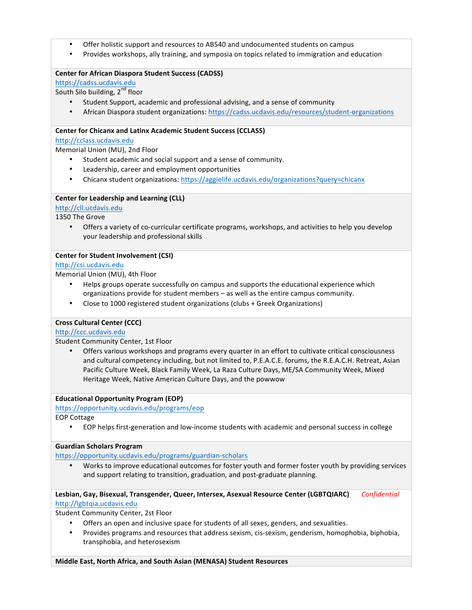- Offer holistic support and resources to AB540 and undocumented students on campus
- Provides workshops, ally training, and symposia on topics related to immigration and education

#### **Center for African Diaspora Student Success (CADSS)**

https://cadss.ucdavis.edu 

South Silo building,  $2^{nd}$  floor

- Student Support, academic and professional advising, and a sense of community
- African Diaspora student organizations: https://cadss.ucdavis.edu/resources/student-organizations

#### **Center for Chicanx and Latinx Academic Student Success (CCLASS)**

http://cclass.ucdavis.edu

Memorial Union (MU), 2nd Floor

- Student academic and social support and a sense of community.
- Leadership, career and employment opportunities
- Chicanx student organizations: https://aggielife.ucdavis.edu/organizations?query=chicanx

#### **Center for Leadership and Learning (CLL)**

#### http://cll.ucdavis.edu

1350 The Grove

Offers a variety of co-curricular certificate programs, workshops, and activities to help you develop your leadership and professional skills

#### **Center for Student Involvement (CSI)**

### http://csi.ucdavis.edu

Memorial Union (MU), 4th Floor

- Helps groups operate successfully on campus and supports the educational experience which organizations provide for student members - as well as the entire campus community.
- Close to 1000 registered student organizations (clubs + Greek Organizations)

#### **Cross Cultural Center (CCC)**

#### http://ccc.ucdavis.edu

Student Community Center, 1st Floor

Offers various workshops and programs every quarter in an effort to cultivate critical consciousness and cultural competency including, but not limited to, P.E.A.C.E. forums, the R.E.A.C.H. Retreat, Asian Pacific Culture Week, Black Family Week, La Raza Culture Days, ME/SA Community Week, Mixed Heritage Week, Native American Culture Days, and the powwow

#### **Educational Opportunity Program (EOP)**

#### https://opportunity.ucdavis.edu/programs/eop

EOP Cottage

EOP helps first-generation and low-income students with academic and personal success in college

#### **Guardian Scholars Program**

https://opportunity.ucdavis.edu/programs/guardian-scholars

• Works to improve educational outcomes for foster youth and former foster youth by providing services and support relating to transition, graduation, and post-graduate planning.

Lesbian, Gay, Bisexual, Transgender, Queer, Intersex, Asexual Resource Center (LGBTQIARC) *Confidential* http://lgbtqia.ucdavis.edu

Student Community Center, 2st Floor

- Offers an open and inclusive space for students of all sexes, genders, and sexualities.
- Provides programs and resources that address sexism, cis-sexism, genderism, homophobia, biphobia, transphobia, and heterosexism

**Middle East, North Africa, and South Asian (MENASA) Student Resources**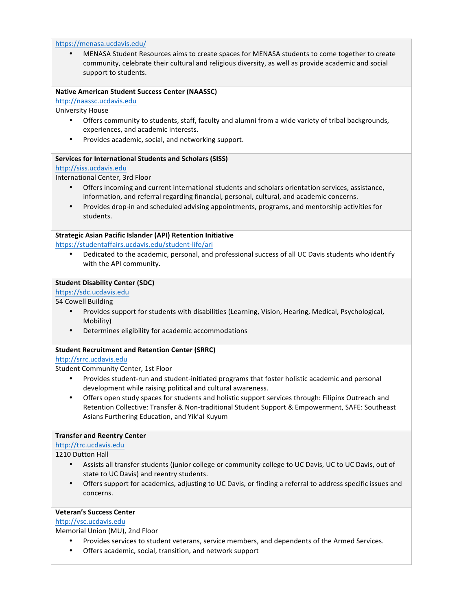#### https://menasa.ucdavis.edu/

MENASA Student Resources aims to create spaces for MENASA students to come together to create community, celebrate their cultural and religious diversity, as well as provide academic and social support to students.

#### **Native American Student Success Center (NAASSC)**

http://naassc.ucdavis.edu

University House 

- Offers community to students, staff, faculty and alumni from a wide variety of tribal backgrounds, experiences, and academic interests.
- Provides academic, social, and networking support.

#### **Services for International Students and Scholars (SISS)**

#### http://siss.ucdavis.edu

International Center, 3rd Floor 

- Offers incoming and current international students and scholars orientation services, assistance, information, and referral regarding financial, personal, cultural, and academic concerns.
- Provides drop-in and scheduled advising appointments, programs, and mentorship activities for students.

#### **Strategic Asian Pacific Islander (API) Retention Initiative**

https://studentaffairs.ucdavis.edu/student-life/ari

Dedicated to the academic, personal, and professional success of all UC Davis students who identify with the API community.

#### **Student Disability Center (SDC)**

https://sdc.ucdavis.edu

#### 54 Cowell Building

- Provides support for students with disabilities (Learning, Vision, Hearing, Medical, Psychological, Mobility)
- Determines eligibility for academic accommodations

#### **Student Recruitment and Retention Center (SRRC)**

#### http://srrc.ucdavis.edu

Student Community Center, 1st Floor

- Provides student-run and student-initiated programs that foster holistic academic and personal development while raising political and cultural awareness.
- Offers open study spaces for students and holistic support services through: Filipinx Outreach and Retention Collective: Transfer & Non-traditional Student Support & Empowerment, SAFE: Southeast Asians Furthering Education, and Yik'al Kuyum

#### **Transfer and Reentry Center**

#### http://trc.ucdavis.edu

1210 Dutton Hall

- Assists all transfer students (junior college or community college to UC Davis, UC to UC Davis, out of state to UC Davis) and reentry students.
- Offers support for academics, adjusting to UC Davis, or finding a referral to address specific issues and concerns.

### **Veteran's Success Center**

#### http://vsc.ucdavis.edu

Memorial Union (MU), 2nd Floor

- Provides services to student veterans, service members, and dependents of the Armed Services.
- Offers academic, social, transition, and network support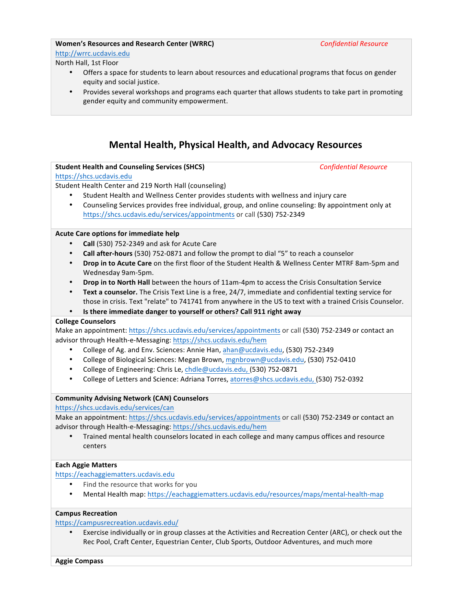#### **Women's Resources and Research Center (WRRC)** *Confidential Resource* http://wrrc.ucdavis.edu

## North Hall, 1st Floor

- Offers a space for students to learn about resources and educational programs that focus on gender equity and social justice.
- Provides several workshops and programs each quarter that allows students to take part in promoting gender equity and community empowerment.

# **Mental Health, Physical Health, and Advocacy Resources**

### **Student Health and Counseling Services (SHCS)** *Confidential Resource*

#### https://shcs.ucdavis.edu

Student Health Center and 219 North Hall (counseling)

- Student Health and Wellness Center provides students with wellness and injury care
- Counseling Services provides free individual, group, and online counseling: By appointment only at https://shcs.ucdavis.edu/services/appointments or call (530) 752-2349

#### **Acute Care options for immediate help**

- **Call** (530) 752-2349 and ask for Acute Care
- **Call after-hours** (530) 752-0871 and follow the prompt to dial "5" to reach a counselor
- Drop in to Acute Care on the first floor of the Student Health & Wellness Center MTRF 8am-5pm and Wednesday 9am-5pm.
- Drop in to North Hall between the hours of 11am-4pm to access the Crisis Consultation Service
- Text a counselor. The Crisis Text Line is a free, 24/7, immediate and confidential texting service for those in crisis. Text "relate" to 741741 from anywhere in the US to text with a trained Crisis Counselor.
- Is there immediate danger to yourself or others? Call 911 right away

#### **College Counselors**

Make an appointment: https://shcs.ucdavis.edu/services/appointments or call (530) 752-2349 or contact an advisor through Health-e-Messaging: https://shcs.ucdavis.edu/hem

- College of Ag. and Env. Sciences: Annie Han, ahan@ucdavis.edu, (530) 752-2349
- College of Biological Sciences: Megan Brown, mgnbrown@ucdavis.edu, (530) 752-0410
- College of Engineering: Chris Le, chdle@ucdavis.edu, (530) 752-0871
- College of Letters and Science: Adriana Torres, atorres@shcs.ucdavis.edu, (530) 752-0392

#### **Community Advising Network (CAN) Counselors**

https://shcs.ucdavis.edu/services/can

Make an appointment: https://shcs.ucdavis.edu/services/appointments or call (530) 752-2349 or contact an advisor through Health-e-Messaging: https://shcs.ucdavis.edu/hem

• Trained mental health counselors located in each college and many campus offices and resource centers

#### **Each Aggie Matters**

https://eachaggiematters.ucdavis.edu

- Find the resource that works for you
- Mental Health map: https://eachaggiematters.ucdavis.edu/resources/maps/mental-health-map

#### **Campus Recreation**

#### https://campusrecreation.ucdavis.edu/

Exercise individually or in group classes at the Activities and Recreation Center (ARC), or check out the Rec Pool, Craft Center, Equestrian Center, Club Sports, Outdoor Adventures, and much more

**Aggie Compass**